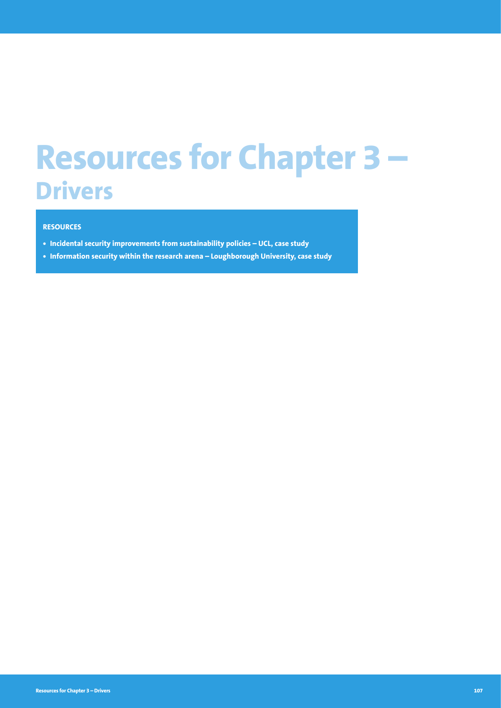# **Resources for Chapter 3 – Drivers**

# **RESOURCES**

- **• Incidental security improvements from sustainability policies UCL, case study**
- **• Information security within the research arena Loughborough University, case study**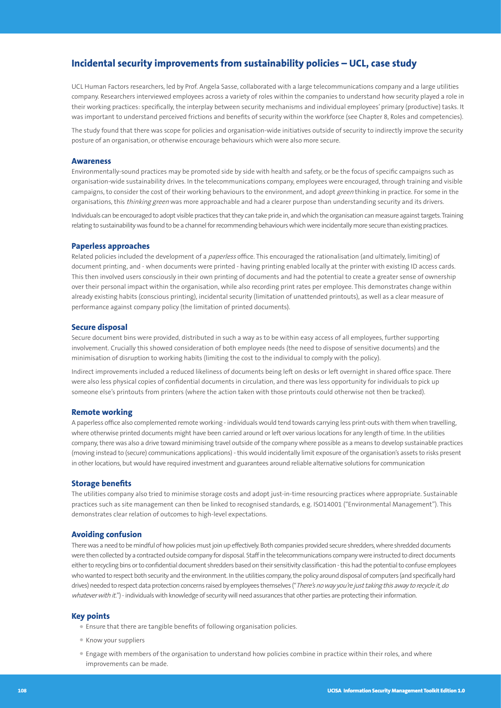# **Incidental security improvements from sustainability policies – UCL, case study**

UCL Human Factors researchers, led by Prof. Angela Sasse, collaborated with a large telecommunications company and a large utilities company. Researchers interviewed employees across a variety of roles within the companies to understand how security played a role in their working practices: specifically, the interplay between security mechanisms and individual employees' primary (productive) tasks. It was important to understand perceived frictions and benefits of security within the workforce (see Chapter 8, Roles and competencies).

The study found that there was scope for policies and organisation-wide initiatives outside of security to indirectly improve the security posture of an organisation, or otherwise encourage behaviours which were also more secure.

# **Awareness**

Environmentally-sound practices may be promoted side by side with health and safety, or be the focus of specific campaigns such as organisation-wide sustainability drives. In the telecommunications company, employees were encouraged, through training and visible campaigns, to consider the cost of their working behaviours to the environment, and adopt green thinking in practice. For some in the organisations, this thinking green was more approachable and had a clearer purpose than understanding security and its drivers.

Individuals can be encouraged to adopt visible practices that they can take pride in, and which the organisation can measure against targets. Training relating to sustainability was found to be a channel for recommending behaviours which were incidentally more secure than existing practices.

#### **Paperless approaches**

Related policies included the development of a paperless office. This encouraged the rationalisation (and ultimately, limiting) of document printing, and - when documents were printed - having printing enabled locally at the printer with existing ID access cards. This then involved users consciously in their own printing of documents and had the potential to create a greater sense of ownership over their personal impact within the organisation, while also recording print rates per employee. This demonstrates change within already existing habits (conscious printing), incidental security (limitation of unattended printouts), as well as a clear measure of performance against company policy (the limitation of printed documents).

#### **Secure disposal**

Secure document bins were provided, distributed in such a way as to be within easy access of all employees, further supporting involvement. Crucially this showed consideration of both employee needs (the need to dispose of sensitive documents) and the minimisation of disruption to working habits (limiting the cost to the individual to comply with the policy).

Indirect improvements included a reduced likeliness of documents being left on desks or left overnight in shared office space. There were also less physical copies of confidential documents in circulation, and there was less opportunity for individuals to pick up someone else's printouts from printers (where the action taken with those printouts could otherwise not then be tracked).

## **Remote working**

A paperless office also complemented remote working - individuals would tend towards carrying less print-outs with them when travelling, where otherwise printed documents might have been carried around or left over various locations for any length of time. In the utilities company, there was also a drive toward minimising travel outside of the company where possible as a means to develop sustainable practices (moving instead to (secure) communications applications) - this would incidentally limit exposure of the organisation's assets to risks present in other locations, but would have required investment and guarantees around reliable alternative solutions for communication

#### **Storage benefits**

The utilities company also tried to minimise storage costs and adopt just-in-time resourcing practices where appropriate. Sustainable practices such as site management can then be linked to recognised standards, e.g. ISO14001 ("Environmental Management"). This demonstrates clear relation of outcomes to high-level expectations.

#### **Avoiding confusion**

There was a need to be mindful of how policies must join up effectively. Both companies provided secure shredders, where shredded documents were then collected by a contracted outside company for disposal. Staff in the telecommunications company were instructed to direct documents either to recycling bins or to confidential document shredders based on their sensitivity classification - this had the potential to confuse employees who wanted to respect both security and the environment. In the utilities company, the policy around disposal of computers (and specifically hard drives) needed to respect data protection concerns raised by employees themselves ("There's no way you're just taking this away to recycle it, do whatever with it.") - individuals with knowledge of security will need assurances that other parties are protecting their information.

## **Key points**

- Ensure that there are tangible benefits of following organisation policies.
- Know your suppliers
- Engage with members of the organisation to understand how policies combine in practice within their roles, and where improvements can be made.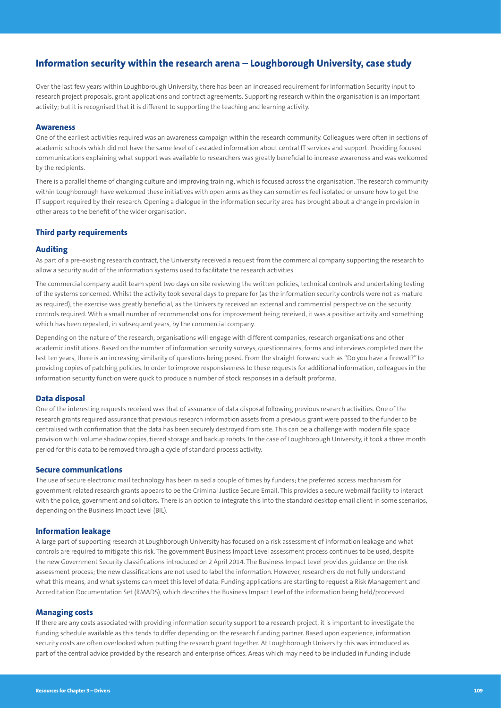# **Information security within the research arena – Loughborough University, case study**

Over the last few years within Loughborough University, there has been an increased requirement for Information Security input to research project proposals, grant applications and contract agreements. Supporting research within the organisation is an important activity; but it is recognised that it is different to supporting the teaching and learning activity.

# **Awareness**

One of the earliest activities required was an awareness campaign within the research community. Colleagues were often in sections of academic schools which did not have the same level of cascaded information about central IT services and support. Providing focused communications explaining what support was available to researchers was greatly beneficial to increase awareness and was welcomed by the recipients.

There is a parallel theme of changing culture and improving training, which is focused across the organisation. The research community within Loughborough have welcomed these initiatives with open arms as they can sometimes feel isolated or unsure how to get the IT support required by their research. Opening a dialogue in the information security area has brought about a change in provision in other areas to the benefit of the wider organisation.

# **Third party requirements**

## **Auditing**

As part of a pre-existing research contract, the University received a request from the commercial company supporting the research to allow a security audit of the information systems used to facilitate the research activities.

The commercial company audit team spent two days on site reviewing the written policies, technical controls and undertaking testing of the systems concerned. Whilst the activity took several days to prepare for (as the information security controls were not as mature as required), the exercise was greatly beneficial, as the University received an external and commercial perspective on the security controls required. With a small number of recommendations for improvement being received, it was a positive activity and something which has been repeated, in subsequent years, by the commercial company.

Depending on the nature of the research, organisations will engage with different companies, research organisations and other academic institutions. Based on the number of information security surveys, questionnaires, forms and interviews completed over the last ten years, there is an increasing similarity of questions being posed. From the straight forward such as "Do you have a firewall?" to providing copies of patching policies. In order to improve responsiveness to these requests for additional information, colleagues in the information security function were quick to produce a number of stock responses in a default proforma.

# **Data disposal**

One of the interesting requests received was that of assurance of data disposal following previous research activities. One of the research grants required assurance that previous research information assets from a previous grant were passed to the funder to be centralised with confirmation that the data has been securely destroyed from site. This can be a challenge with modern file space provision with: volume shadow copies, tiered storage and backup robots. In the case of Loughborough University, it took a three month period for this data to be removed through a cycle of standard process activity.

#### **Secure communications**

The use of secure electronic mail technology has been raised a couple of times by funders; the preferred access mechanism for government related research grants appears to be the Criminal Justice Secure Email. This provides a secure webmail facility to interact with the police, government and solicitors. There is an option to integrate this into the standard desktop email client in some scenarios, depending on the Business Impact Level (BIL).

# **Information leakage**

A large part of supporting research at Loughborough University has focused on a risk assessment of information leakage and what controls are required to mitigate this risk. The government Business Impact Level assessment process continues to be used, despite the new Government Security classifications introduced on 2 April 2014. The Business Impact Level provides guidance on the risk assessment process; the new classifications are not used to label the information. However, researchers do not fully understand what this means, and what systems can meet this level of data. Funding applications are starting to request a Risk Management and Accreditation Documentation Set (RMADS), which describes the Business Impact Level of the information being held/processed.

## **Managing costs**

If there are any costs associated with providing information security support to a research project, it is important to investigate the funding schedule available as this tends to differ depending on the research funding partner. Based upon experience, information security costs are often overlooked when putting the research grant together. At Loughborough University this was introduced as part of the central advice provided by the research and enterprise offices. Areas which may need to be included in funding include